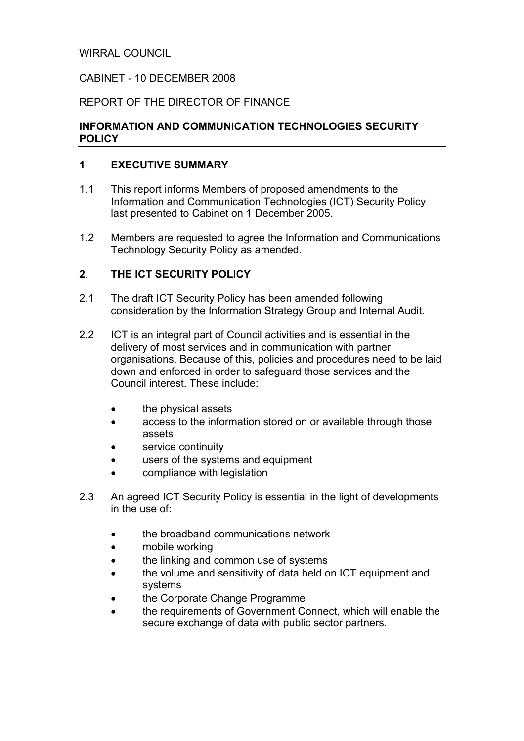### WIRRAL COUNCIL

### CABINET - 10 DECEMBER 2008

### REPORT OF THE DIRECTOR OF FINANCE

### INFORMATION AND COMMUNICATION TECHNOLOGIES SECURITY **POLICY**

#### 1 EXECUTIVE SUMMARY

- 1.1 This report informs Members of proposed amendments to the Information and Communication Technologies (ICT) Security Policy last presented to Cabinet on 1 December 2005.
- 1.2 Members are requested to agree the Information and Communications Technology Security Policy as amended.

#### 2. THE ICT SECURITY POLICY

- 2.1 The draft ICT Security Policy has been amended following consideration by the Information Strategy Group and Internal Audit.
- 2.2 ICT is an integral part of Council activities and is essential in the delivery of most services and in communication with partner organisations. Because of this, policies and procedures need to be laid down and enforced in order to safeguard those services and the Council interest. These include:
	- the physical assets
	- access to the information stored on or available through those assets
	- service continuity
	- users of the systems and equipment
	- compliance with legislation
- 2.3 An agreed ICT Security Policy is essential in the light of developments in the use of:
	- the broadband communications network
	- mobile working
	- the linking and common use of systems
	- the volume and sensitivity of data held on ICT equipment and systems
	- the Corporate Change Programme
	- the requirements of Government Connect, which will enable the secure exchange of data with public sector partners.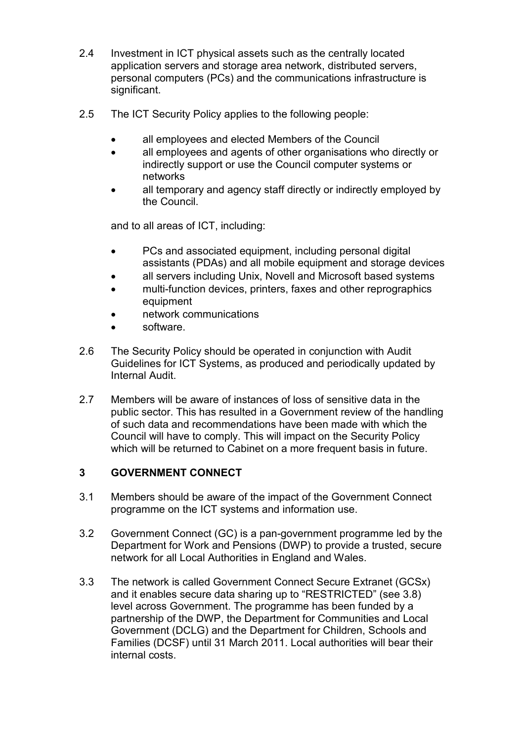- 2.4 Investment in ICT physical assets such as the centrally located application servers and storage area network, distributed servers, personal computers (PCs) and the communications infrastructure is significant.
- 2.5 The ICT Security Policy applies to the following people:
	- all employees and elected Members of the Council
	- all employees and agents of other organisations who directly or indirectly support or use the Council computer systems or networks
	- all temporary and agency staff directly or indirectly employed by the Council.

and to all areas of ICT, including:

- PCs and associated equipment, including personal digital assistants (PDAs) and all mobile equipment and storage devices
- all servers including Unix, Novell and Microsoft based systems
- multi-function devices, printers, faxes and other reprographics equipment
- network communications
- software.
- 2.6 The Security Policy should be operated in conjunction with Audit Guidelines for ICT Systems, as produced and periodically updated by Internal Audit.
- 2.7 Members will be aware of instances of loss of sensitive data in the public sector. This has resulted in a Government review of the handling of such data and recommendations have been made with which the Council will have to comply. This will impact on the Security Policy which will be returned to Cabinet on a more frequent basis in future.

## 3 GOVERNMENT CONNECT

- 3.1 Members should be aware of the impact of the Government Connect programme on the ICT systems and information use.
- 3.2 Government Connect (GC) is a pan-government programme led by the Department for Work and Pensions (DWP) to provide a trusted, secure network for all Local Authorities in England and Wales.
- 3.3 The network is called Government Connect Secure Extranet (GCSx) and it enables secure data sharing up to "RESTRICTED" (see 3.8) level across Government. The programme has been funded by a partnership of the DWP, the Department for Communities and Local Government (DCLG) and the Department for Children, Schools and Families (DCSF) until 31 March 2011. Local authorities will bear their internal costs.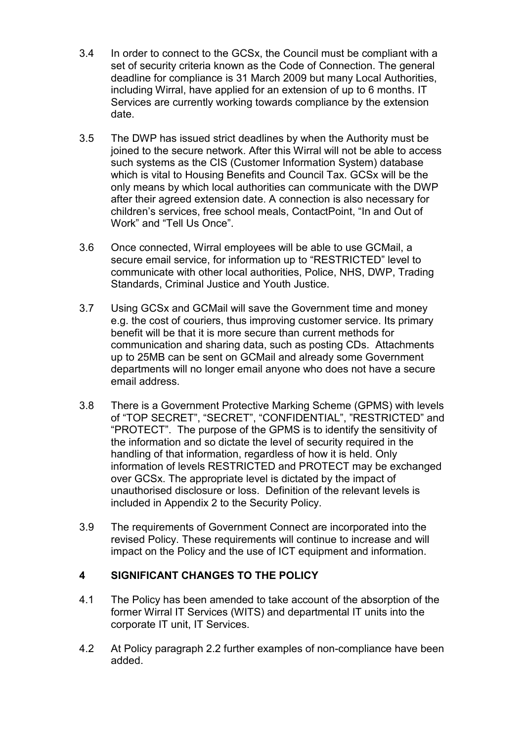- 3.4 In order to connect to the GCSx, the Council must be compliant with a set of security criteria known as the Code of Connection. The general deadline for compliance is 31 March 2009 but many Local Authorities, including Wirral, have applied for an extension of up to 6 months. IT Services are currently working towards compliance by the extension date.
- 3.5 The DWP has issued strict deadlines by when the Authority must be joined to the secure network. After this Wirral will not be able to access such systems as the CIS (Customer Information System) database which is vital to Housing Benefits and Council Tax. GCSx will be the only means by which local authorities can communicate with the DWP after their agreed extension date. A connection is also necessary for children's services, free school meals, ContactPoint, "In and Out of Work" and "Tell Us Once".
- 3.6 Once connected, Wirral employees will be able to use GCMail, a secure email service, for information up to "RESTRICTED" level to communicate with other local authorities, Police, NHS, DWP, Trading Standards, Criminal Justice and Youth Justice.
- 3.7 Using GCSx and GCMail will save the Government time and money e.g. the cost of couriers, thus improving customer service. Its primary benefit will be that it is more secure than current methods for communication and sharing data, such as posting CDs. Attachments up to 25MB can be sent on GCMail and already some Government departments will no longer email anyone who does not have a secure email address.
- 3.8 There is a Government Protective Marking Scheme (GPMS) with levels of "TOP SECRET", "SECRET", "CONFIDENTIAL", "RESTRICTED" and "PROTECT". The purpose of the GPMS is to identify the sensitivity of the information and so dictate the level of security required in the handling of that information, regardless of how it is held. Only information of levels RESTRICTED and PROTECT may be exchanged over GCSx. The appropriate level is dictated by the impact of unauthorised disclosure or loss. Definition of the relevant levels is included in Appendix 2 to the Security Policy.
- 3.9 The requirements of Government Connect are incorporated into the revised Policy. These requirements will continue to increase and will impact on the Policy and the use of ICT equipment and information.

## 4 SIGNIFICANT CHANGES TO THE POLICY

- 4.1 The Policy has been amended to take account of the absorption of the former Wirral IT Services (WITS) and departmental IT units into the corporate IT unit, IT Services.
- 4.2 At Policy paragraph 2.2 further examples of non-compliance have been added.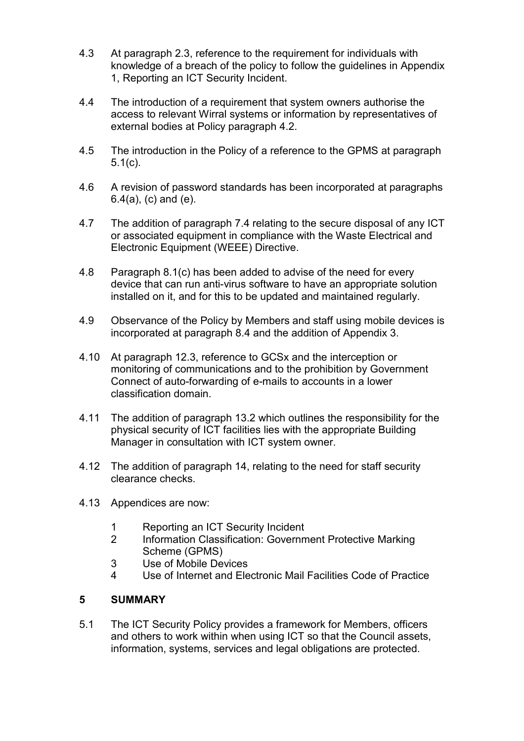- 4.3 At paragraph 2.3, reference to the requirement for individuals with knowledge of a breach of the policy to follow the guidelines in Appendix 1, Reporting an ICT Security Incident.
- 4.4 The introduction of a requirement that system owners authorise the access to relevant Wirral systems or information by representatives of external bodies at Policy paragraph 4.2.
- 4.5 The introduction in the Policy of a reference to the GPMS at paragraph 5.1(c).
- 4.6 A revision of password standards has been incorporated at paragraphs 6.4(a), (c) and (e).
- 4.7 The addition of paragraph 7.4 relating to the secure disposal of any ICT or associated equipment in compliance with the Waste Electrical and Electronic Equipment (WEEE) Directive.
- 4.8 Paragraph 8.1(c) has been added to advise of the need for every device that can run anti-virus software to have an appropriate solution installed on it, and for this to be updated and maintained regularly.
- 4.9 Observance of the Policy by Members and staff using mobile devices is incorporated at paragraph 8.4 and the addition of Appendix 3.
- 4.10 At paragraph 12.3, reference to GCSx and the interception or monitoring of communications and to the prohibition by Government Connect of auto-forwarding of e-mails to accounts in a lower classification domain.
- 4.11 The addition of paragraph 13.2 which outlines the responsibility for the physical security of ICT facilities lies with the appropriate Building Manager in consultation with ICT system owner.
- 4.12 The addition of paragraph 14, relating to the need for staff security clearance checks.
- 4.13 Appendices are now:
	- 1 Reporting an ICT Security Incident
	- 2 Information Classification: Government Protective Marking Scheme (GPMS)
	- 3 Use of Mobile Devices
	- 4 Use of Internet and Electronic Mail Facilities Code of Practice

## 5 SUMMARY

5.1 The ICT Security Policy provides a framework for Members, officers and others to work within when using ICT so that the Council assets, information, systems, services and legal obligations are protected.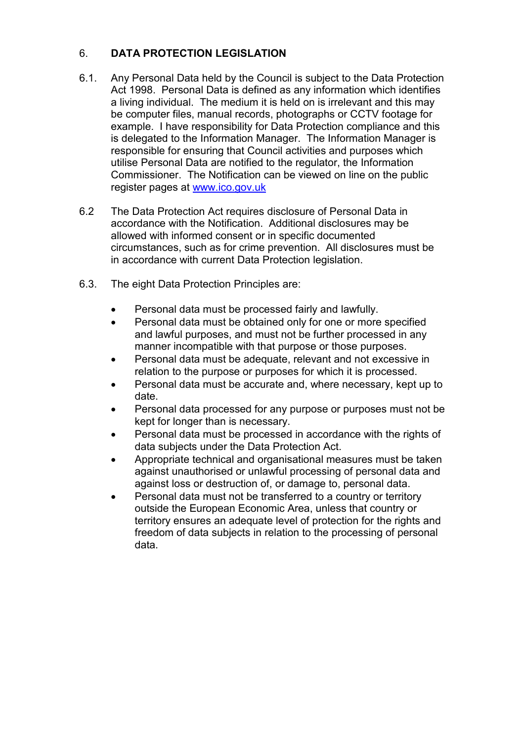# 6. DATA PROTECTION LEGISLATION

- 6.1. Any Personal Data held by the Council is subject to the Data Protection Act 1998. Personal Data is defined as any information which identifies a living individual. The medium it is held on is irrelevant and this may be computer files, manual records, photographs or CCTV footage for example. I have responsibility for Data Protection compliance and this is delegated to the Information Manager. The Information Manager is responsible for ensuring that Council activities and purposes which utilise Personal Data are notified to the regulator, the Information Commissioner. The Notification can be viewed on line on the public register pages at www.ico.gov.uk
- 6.2 The Data Protection Act requires disclosure of Personal Data in accordance with the Notification. Additional disclosures may be allowed with informed consent or in specific documented circumstances, such as for crime prevention. All disclosures must be in accordance with current Data Protection legislation.
- 6.3. The eight Data Protection Principles are:
	- Personal data must be processed fairly and lawfully.
	- Personal data must be obtained only for one or more specified and lawful purposes, and must not be further processed in any manner incompatible with that purpose or those purposes.
	- Personal data must be adequate, relevant and not excessive in relation to the purpose or purposes for which it is processed.
	- Personal data must be accurate and, where necessary, kept up to date.
	- Personal data processed for any purpose or purposes must not be kept for longer than is necessary.
	- Personal data must be processed in accordance with the rights of data subjects under the Data Protection Act.
	- Appropriate technical and organisational measures must be taken against unauthorised or unlawful processing of personal data and against loss or destruction of, or damage to, personal data.
	- Personal data must not be transferred to a country or territory outside the European Economic Area, unless that country or territory ensures an adequate level of protection for the rights and freedom of data subjects in relation to the processing of personal data.